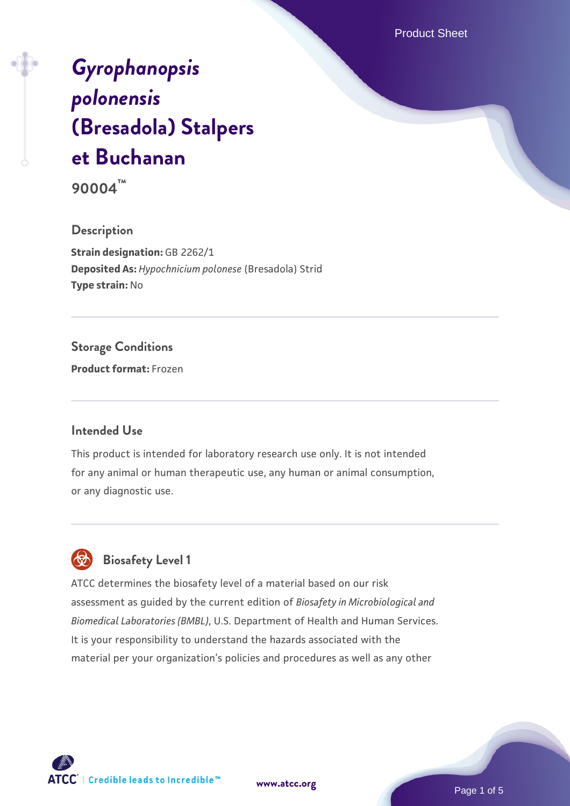Product Sheet

# *[Gyrophanopsis](https://www.atcc.org/products/90004) [polonensis](https://www.atcc.org/products/90004)* **[\(Bresadola\) Stalpers](https://www.atcc.org/products/90004) [et Buchanan](https://www.atcc.org/products/90004)**

**90004™**

### **Description**

**Strain designation:** GB 2262/1 **Deposited As:** *Hypochnicium polonese* (Bresadola) Strid **Type strain:** No

# **Storage Conditions**

**Product format:** Frozen

### **Intended Use**

This product is intended for laboratory research use only. It is not intended for any animal or human therapeutic use, any human or animal consumption, or any diagnostic use.

# **Biosafety Level 1**

ATCC determines the biosafety level of a material based on our risk assessment as guided by the current edition of *Biosafety in Microbiological and Biomedical Laboratories (BMBL)*, U.S. Department of Health and Human Services. It is your responsibility to understand the hazards associated with the material per your organization's policies and procedures as well as any other



**[www.atcc.org](http://www.atcc.org)**

Page 1 of 5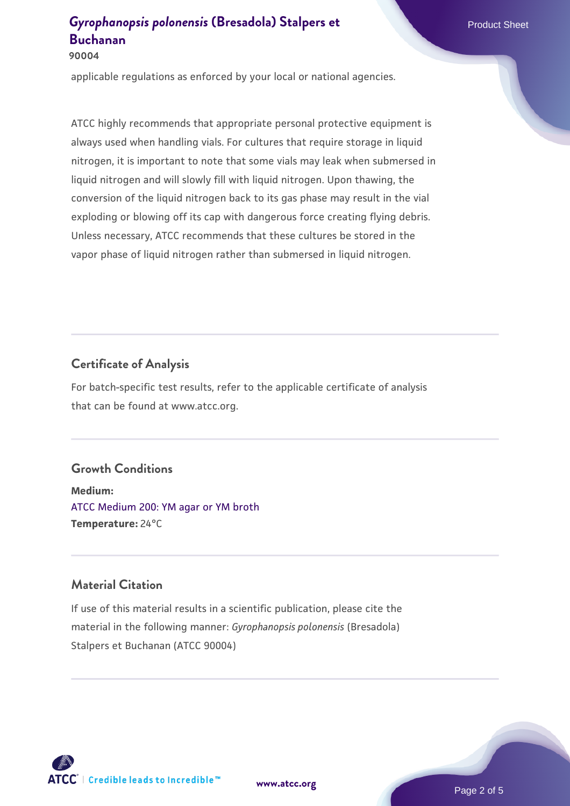# **[Gyrophanopsis polonensis](https://www.atcc.org/products/90004) [\(Bresadola\) Stalpers et](https://www.atcc.org/products/90004)** Product Sheet **[Buchanan](https://www.atcc.org/products/90004)**

#### **90004**

applicable regulations as enforced by your local or national agencies.

ATCC highly recommends that appropriate personal protective equipment is always used when handling vials. For cultures that require storage in liquid nitrogen, it is important to note that some vials may leak when submersed in liquid nitrogen and will slowly fill with liquid nitrogen. Upon thawing, the conversion of the liquid nitrogen back to its gas phase may result in the vial exploding or blowing off its cap with dangerous force creating flying debris. Unless necessary, ATCC recommends that these cultures be stored in the vapor phase of liquid nitrogen rather than submersed in liquid nitrogen.

# **Certificate of Analysis**

For batch-specific test results, refer to the applicable certificate of analysis that can be found at www.atcc.org.

# **Growth Conditions**

**Medium:**  [ATCC Medium 200: YM agar or YM broth](https://www.atcc.org/-/media/product-assets/documents/microbial-media-formulations/2/0/0/atcc-medium-200.pdf?rev=ac40fd74dc13433a809367b0b9da30fc) **Temperature:** 24°C

### **Material Citation**

If use of this material results in a scientific publication, please cite the material in the following manner: *Gyrophanopsis polonensis* (Bresadola) Stalpers et Buchanan (ATCC 90004)



**[www.atcc.org](http://www.atcc.org)**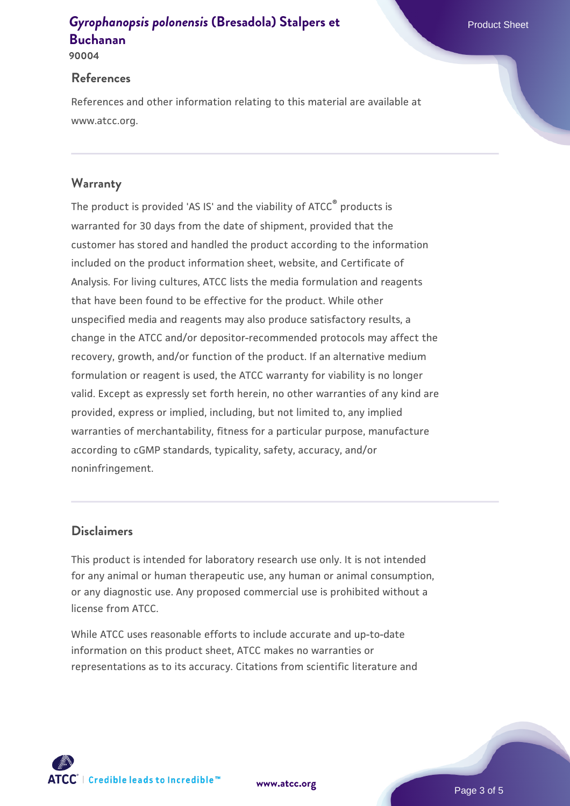# **[Gyrophanopsis polonensis](https://www.atcc.org/products/90004) [\(Bresadola\) Stalpers et](https://www.atcc.org/products/90004)** Product Sheet **[Buchanan](https://www.atcc.org/products/90004)**

**90004**

#### **References**

References and other information relating to this material are available at www.atcc.org.

# **Warranty**

The product is provided 'AS IS' and the viability of ATCC® products is warranted for 30 days from the date of shipment, provided that the customer has stored and handled the product according to the information included on the product information sheet, website, and Certificate of Analysis. For living cultures, ATCC lists the media formulation and reagents that have been found to be effective for the product. While other unspecified media and reagents may also produce satisfactory results, a change in the ATCC and/or depositor-recommended protocols may affect the recovery, growth, and/or function of the product. If an alternative medium formulation or reagent is used, the ATCC warranty for viability is no longer valid. Except as expressly set forth herein, no other warranties of any kind are provided, express or implied, including, but not limited to, any implied warranties of merchantability, fitness for a particular purpose, manufacture according to cGMP standards, typicality, safety, accuracy, and/or noninfringement.

### **Disclaimers**

This product is intended for laboratory research use only. It is not intended for any animal or human therapeutic use, any human or animal consumption, or any diagnostic use. Any proposed commercial use is prohibited without a license from ATCC.

While ATCC uses reasonable efforts to include accurate and up-to-date information on this product sheet, ATCC makes no warranties or representations as to its accuracy. Citations from scientific literature and

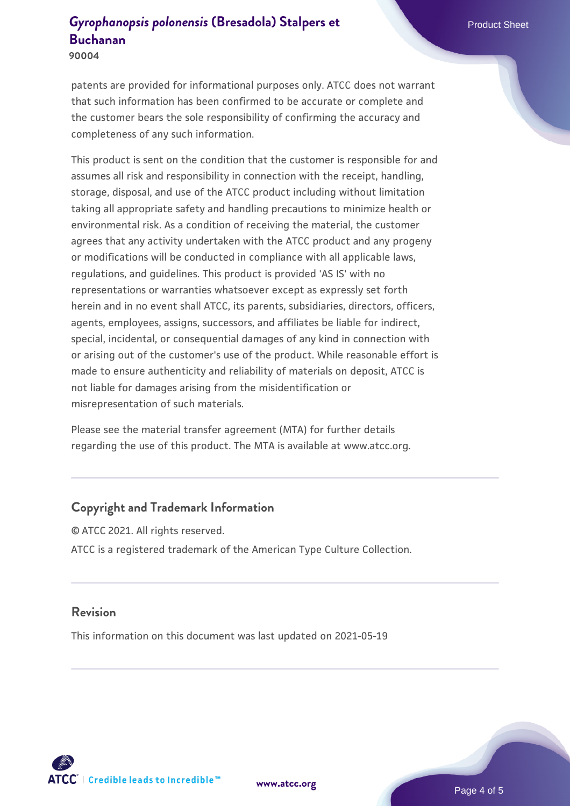# **[Gyrophanopsis polonensis](https://www.atcc.org/products/90004) [\(Bresadola\) Stalpers et](https://www.atcc.org/products/90004)** Product Sheet **[Buchanan](https://www.atcc.org/products/90004)**

**90004**

patents are provided for informational purposes only. ATCC does not warrant that such information has been confirmed to be accurate or complete and the customer bears the sole responsibility of confirming the accuracy and completeness of any such information.

This product is sent on the condition that the customer is responsible for and assumes all risk and responsibility in connection with the receipt, handling, storage, disposal, and use of the ATCC product including without limitation taking all appropriate safety and handling precautions to minimize health or environmental risk. As a condition of receiving the material, the customer agrees that any activity undertaken with the ATCC product and any progeny or modifications will be conducted in compliance with all applicable laws, regulations, and guidelines. This product is provided 'AS IS' with no representations or warranties whatsoever except as expressly set forth herein and in no event shall ATCC, its parents, subsidiaries, directors, officers, agents, employees, assigns, successors, and affiliates be liable for indirect, special, incidental, or consequential damages of any kind in connection with or arising out of the customer's use of the product. While reasonable effort is made to ensure authenticity and reliability of materials on deposit, ATCC is not liable for damages arising from the misidentification or misrepresentation of such materials.

Please see the material transfer agreement (MTA) for further details regarding the use of this product. The MTA is available at www.atcc.org.

### **Copyright and Trademark Information**

© ATCC 2021. All rights reserved. ATCC is a registered trademark of the American Type Culture Collection.

#### **Revision**

This information on this document was last updated on 2021-05-19



**[www.atcc.org](http://www.atcc.org)**

Page 4 of 5